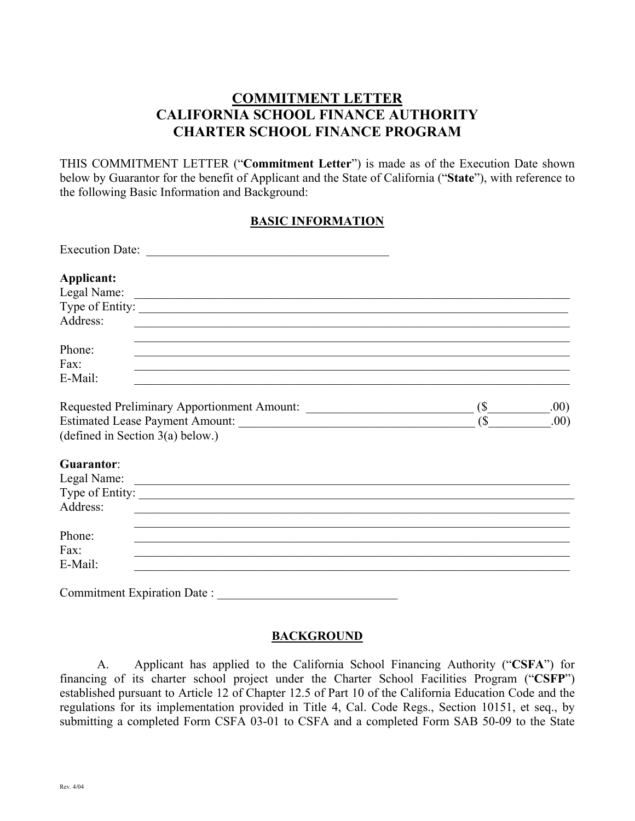THIS COMMITMENT LETTER ("**Commitment Letter**") is made as of the Execution Date shown below by Guarantor for the benefit of Applicant and the State of California ("**State**"), with reference to the following Basic Information and Background:

# **BASIC INFORMATION**

| Applicant:<br>Legal Name:          |        |      |
|------------------------------------|--------|------|
| Type of Entity:<br>Address:        |        |      |
| Phone:<br>Fax:<br>E-Mail:          |        |      |
|                                    | $$ \_$ | .00) |
|                                    |        | .00) |
| (defined in Section $3(a)$ below.) |        |      |
| Guarantor:                         |        |      |
|                                    |        |      |
| Type of Entity:<br>Address:        |        |      |
| Phone:                             |        |      |
| Fax:                               |        |      |
| E-Mail:                            |        |      |
| Commitment Expiration Date :       |        |      |

### **BACKGROUND**

A. Applicant has applied to the California School Financing Authority ("**CSFA**") for financing of its charter school project under the Charter School Facilities Program ("**CSFP**") established pursuant to Article 12 of Chapter 12.5 of Part 10 of the California Education Code and the regulations for its implementation provided in Title 4, Cal. Code Regs., Section 10151, et seq., by submitting a completed Form CSFA 03-01 to CSFA and a completed Form SAB 50-09 to the State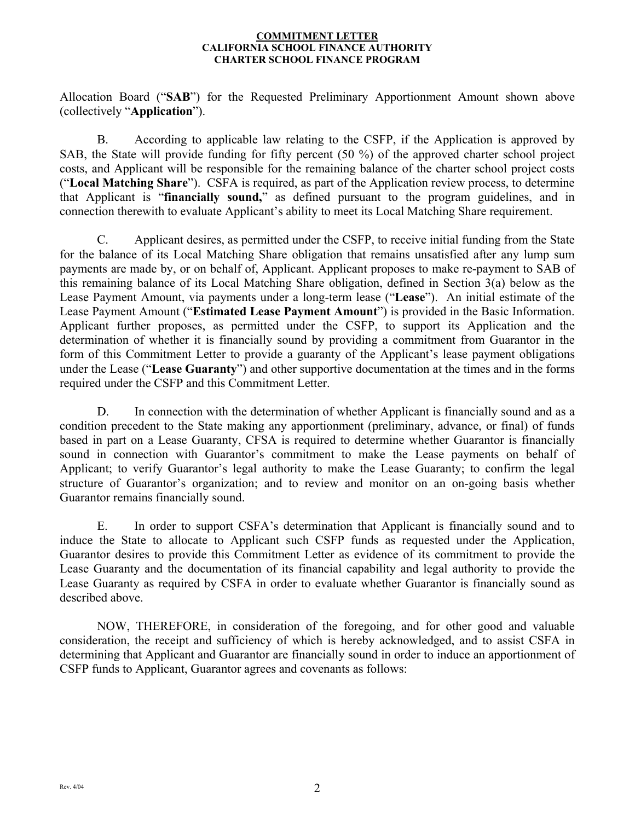Allocation Board ("**SAB**") for the Requested Preliminary Apportionment Amount shown above (collectively "**Application**").

B. According to applicable law relating to the CSFP, if the Application is approved by SAB, the State will provide funding for fifty percent (50 %) of the approved charter school project costs, and Applicant will be responsible for the remaining balance of the charter school project costs ("**Local Matching Share**"). CSFA is required, as part of the Application review process, to determine that Applicant is "**financially sound,**" as defined pursuant to the program guidelines, and in connection therewith to evaluate Applicant's ability to meet its Local Matching Share requirement.

C. Applicant desires, as permitted under the CSFP, to receive initial funding from the State for the balance of its Local Matching Share obligation that remains unsatisfied after any lump sum payments are made by, or on behalf of, Applicant. Applicant proposes to make re-payment to SAB of this remaining balance of its Local Matching Share obligation, defined in Section 3(a) below as the Lease Payment Amount, via payments under a long-term lease ("**Lease**"). An initial estimate of the Lease Payment Amount ("**Estimated Lease Payment Amount**") is provided in the Basic Information. Applicant further proposes, as permitted under the CSFP, to support its Application and the determination of whether it is financially sound by providing a commitment from Guarantor in the form of this Commitment Letter to provide a guaranty of the Applicant's lease payment obligations under the Lease ("**Lease Guaranty**") and other supportive documentation at the times and in the forms required under the CSFP and this Commitment Letter.

D. In connection with the determination of whether Applicant is financially sound and as a condition precedent to the State making any apportionment (preliminary, advance, or final) of funds based in part on a Lease Guaranty, CFSA is required to determine whether Guarantor is financially sound in connection with Guarantor's commitment to make the Lease payments on behalf of Applicant; to verify Guarantor's legal authority to make the Lease Guaranty; to confirm the legal structure of Guarantor's organization; and to review and monitor on an on-going basis whether Guarantor remains financially sound.

E. In order to support CSFA's determination that Applicant is financially sound and to induce the State to allocate to Applicant such CSFP funds as requested under the Application, Guarantor desires to provide this Commitment Letter as evidence of its commitment to provide the Lease Guaranty and the documentation of its financial capability and legal authority to provide the Lease Guaranty as required by CSFA in order to evaluate whether Guarantor is financially sound as described above.

NOW, THEREFORE, in consideration of the foregoing, and for other good and valuable consideration, the receipt and sufficiency of which is hereby acknowledged, and to assist CSFA in determining that Applicant and Guarantor are financially sound in order to induce an apportionment of CSFP funds to Applicant, Guarantor agrees and covenants as follows: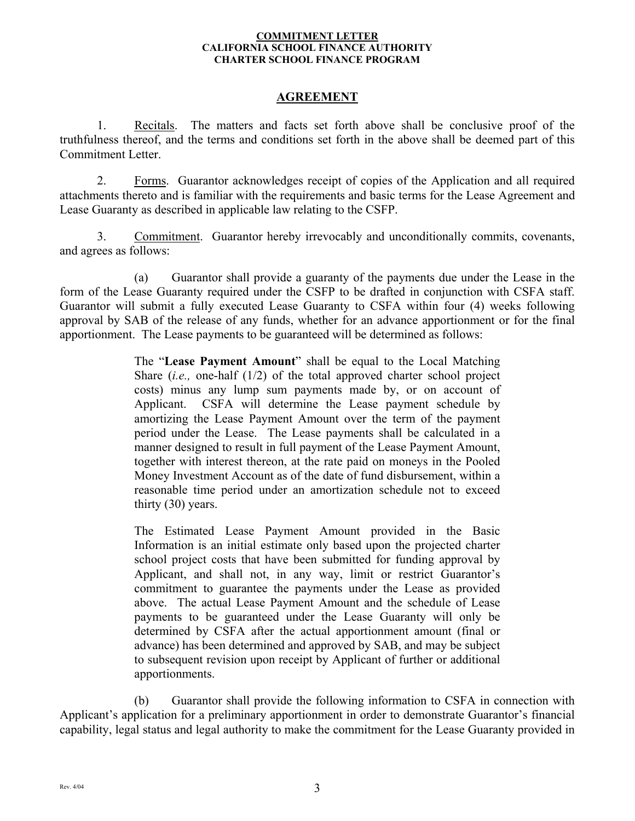# **AGREEMENT**

1. Recitals. The matters and facts set forth above shall be conclusive proof of the truthfulness thereof, and the terms and conditions set forth in the above shall be deemed part of this Commitment Letter.

2. Forms. Guarantor acknowledges receipt of copies of the Application and all required attachments thereto and is familiar with the requirements and basic terms for the Lease Agreement and Lease Guaranty as described in applicable law relating to the CSFP.

3. Commitment. Guarantor hereby irrevocably and unconditionally commits, covenants, and agrees as follows:

(a) Guarantor shall provide a guaranty of the payments due under the Lease in the form of the Lease Guaranty required under the CSFP to be drafted in conjunction with CSFA staff. Guarantor will submit a fully executed Lease Guaranty to CSFA within four (4) weeks following approval by SAB of the release of any funds, whether for an advance apportionment or for the final apportionment. The Lease payments to be guaranteed will be determined as follows:

> The "**Lease Payment Amount**" shall be equal to the Local Matching Share (*i.e.,* one-half (1/2) of the total approved charter school project costs) minus any lump sum payments made by, or on account of Applicant. CSFA will determine the Lease payment schedule by amortizing the Lease Payment Amount over the term of the payment period under the Lease. The Lease payments shall be calculated in a manner designed to result in full payment of the Lease Payment Amount, together with interest thereon, at the rate paid on moneys in the Pooled Money Investment Account as of the date of fund disbursement, within a reasonable time period under an amortization schedule not to exceed thirty (30) years.

> The Estimated Lease Payment Amount provided in the Basic Information is an initial estimate only based upon the projected charter school project costs that have been submitted for funding approval by Applicant, and shall not, in any way, limit or restrict Guarantor's commitment to guarantee the payments under the Lease as provided above. The actual Lease Payment Amount and the schedule of Lease payments to be guaranteed under the Lease Guaranty will only be determined by CSFA after the actual apportionment amount (final or advance) has been determined and approved by SAB, and may be subject to subsequent revision upon receipt by Applicant of further or additional apportionments.

(b) Guarantor shall provide the following information to CSFA in connection with Applicant's application for a preliminary apportionment in order to demonstrate Guarantor's financial capability, legal status and legal authority to make the commitment for the Lease Guaranty provided in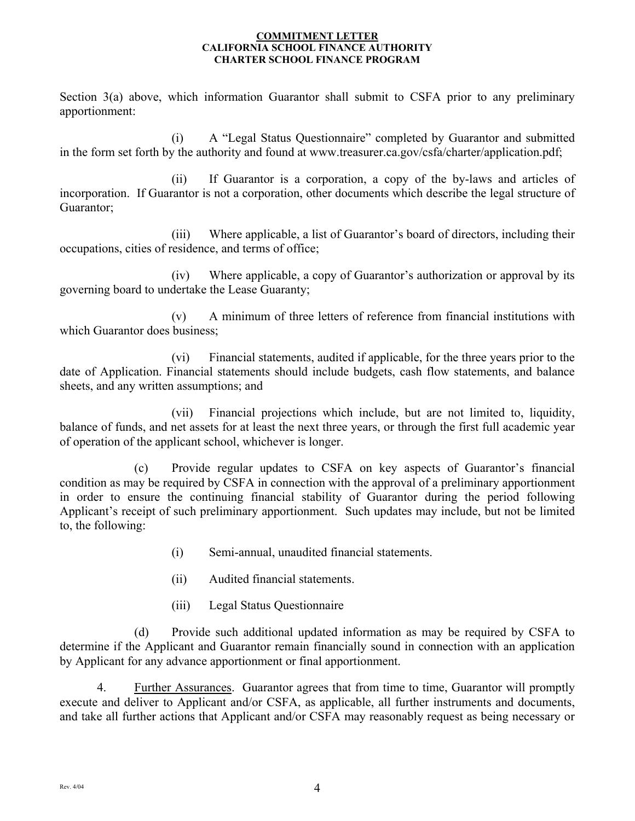Section 3(a) above, which information Guarantor shall submit to CSFA prior to any preliminary apportionment:

(i) A "Legal Status Questionnaire" completed by Guarantor and submitted in the form set forth by the authority and found at www.treasurer.ca.gov/csfa/charter/application.pdf;

(ii) If Guarantor is a corporation, a copy of the by-laws and articles of incorporation. If Guarantor is not a corporation, other documents which describe the legal structure of Guarantor;

(iii) Where applicable, a list of Guarantor's board of directors, including their occupations, cities of residence, and terms of office;

 $(iv)$ Where applicable, a copy of Guarantor's authorization or approval by its governing board to undertake the Lease Guaranty;

(v) A minimum of three letters of reference from financial institutions with which Guarantor does business;

(vi) Financial statements, audited if applicable, for the three years prior to the date of Application. Financial statements should include budgets, cash flow statements, and balance sheets, and any written assumptions; and

(vii) Financial projections which include, but are not limited to, liquidity, balance of funds, and net assets for at least the next three years, or through the first full academic year of operation of the applicant school, whichever is longer.

 $(c)$ Provide regular updates to CSFA on key aspects of Guarantor's financial condition as may be required by CSFA in connection with the approval of a preliminary apportionment in order to ensure the continuing financial stability of Guarantor during the period following Applicant's receipt of such preliminary apportionment. Such updates may include, but not be limited to, the following:

- (i) Semi-annual, unaudited financial statements.
- (ii) Audited financial statements.
- $(iii)$ Legal Status Questionnaire

(d) Provide such additional updated information as may be required by CSFA to determine if the Applicant and Guarantor remain financially sound in connection with an application by Applicant for any advance apportionment or final apportionment.

4. Further Assurances. Guarantor agrees that from time to time, Guarantor will promptly execute and deliver to Applicant and/or CSFA, as applicable, all further instruments and documents, and take all further actions that Applicant and/or CSFA may reasonably request as being necessary or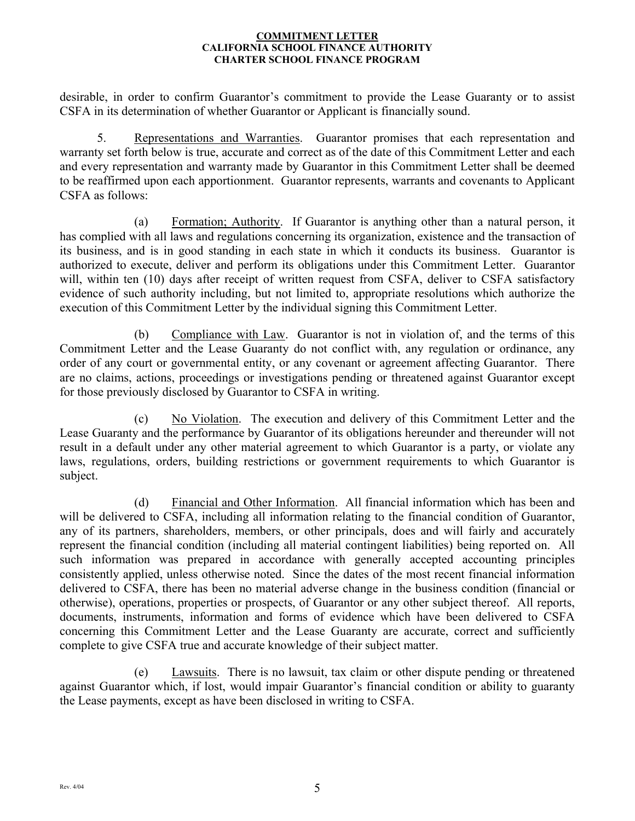desirable, in order to confirm Guarantor's commitment to provide the Lease Guaranty or to assist CSFA in its determination of whether Guarantor or Applicant is financially sound.

5. Representations and Warranties. Guarantor promises that each representation and warranty set forth below is true, accurate and correct as of the date of this Commitment Letter and each and every representation and warranty made by Guarantor in this Commitment Letter shall be deemed to be reaffirmed upon each apportionment. Guarantor represents, warrants and covenants to Applicant CSFA as follows:

(a) Formation; Authority. If Guarantor is anything other than a natural person, it has complied with all laws and regulations concerning its organization, existence and the transaction of its business, and is in good standing in each state in which it conducts its business. Guarantor is authorized to execute, deliver and perform its obligations under this Commitment Letter. Guarantor will, within ten (10) days after receipt of written request from CSFA, deliver to CSFA satisfactory evidence of such authority including, but not limited to, appropriate resolutions which authorize the execution of this Commitment Letter by the individual signing this Commitment Letter.

(b) Compliance with Law. Guarantor is not in violation of, and the terms of this Commitment Letter and the Lease Guaranty do not conflict with, any regulation or ordinance, any order of any court or governmental entity, or any covenant or agreement affecting Guarantor. There are no claims, actions, proceedings or investigations pending or threatened against Guarantor except for those previously disclosed by Guarantor to CSFA in writing.

(c) No Violation. The execution and delivery of this Commitment Letter and the Lease Guaranty and the performance by Guarantor of its obligations hereunder and thereunder will not result in a default under any other material agreement to which Guarantor is a party, or violate any laws, regulations, orders, building restrictions or government requirements to which Guarantor is subject.

(d) Financial and Other Information. All financial information which has been and will be delivered to CSFA, including all information relating to the financial condition of Guarantor, any of its partners, shareholders, members, or other principals, does and will fairly and accurately represent the financial condition (including all material contingent liabilities) being reported on. All such information was prepared in accordance with generally accepted accounting principles consistently applied, unless otherwise noted. Since the dates of the most recent financial information delivered to CSFA, there has been no material adverse change in the business condition (financial or otherwise), operations, properties or prospects, of Guarantor or any other subject thereof. All reports, documents, instruments, information and forms of evidence which have been delivered to CSFA concerning this Commitment Letter and the Lease Guaranty are accurate, correct and sufficiently complete to give CSFA true and accurate knowledge of their subject matter.

(e) Lawsuits. There is no lawsuit, tax claim or other dispute pending or threatened against Guarantor which, if lost, would impair Guarantor's financial condition or ability to guaranty the Lease payments, except as have been disclosed in writing to CSFA.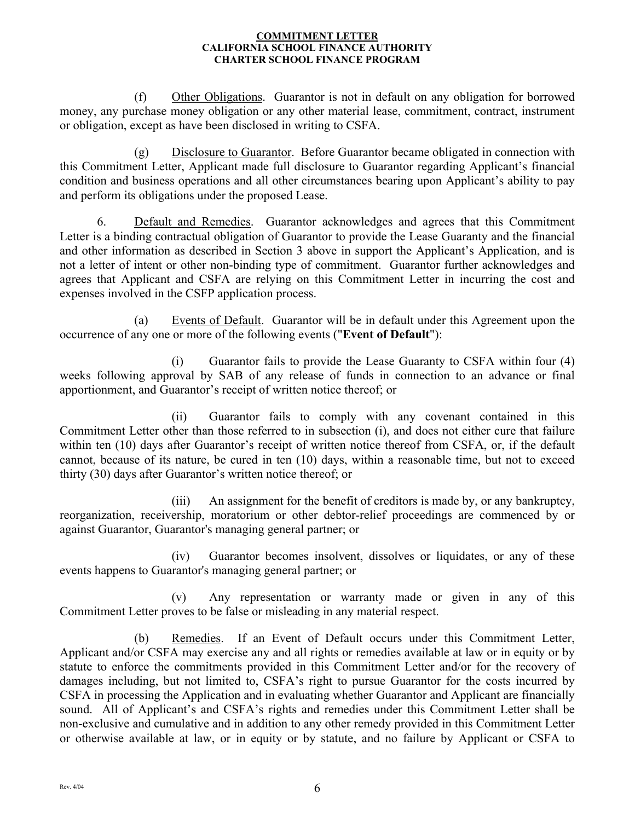(f) Other Obligations. Guarantor is not in default on any obligation for borrowed money, any purchase money obligation or any other material lease, commitment, contract, instrument or obligation, except as have been disclosed in writing to CSFA.

(g) Disclosure to Guarantor. Before Guarantor became obligated in connection with this Commitment Letter, Applicant made full disclosure to Guarantor regarding Applicant's financial condition and business operations and all other circumstances bearing upon Applicant's ability to pay and perform its obligations under the proposed Lease.

6. Default and Remedies. Guarantor acknowledges and agrees that this Commitment Letter is a binding contractual obligation of Guarantor to provide the Lease Guaranty and the financial and other information as described in Section 3 above in support the Applicant's Application, and is not a letter of intent or other non-binding type of commitment. Guarantor further acknowledges and agrees that Applicant and CSFA are relying on this Commitment Letter in incurring the cost and expenses involved in the CSFP application process.

(a) Events of Default. Guarantor will be in default under this Agreement upon the occurrence of any one or more of the following events ("**Event of Default**"):

(i) Guarantor fails to provide the Lease Guaranty to CSFA within four (4) weeks following approval by SAB of any release of funds in connection to an advance or final apportionment, and Guarantor's receipt of written notice thereof; or

(ii) Guarantor fails to comply with any covenant contained in this Commitment Letter other than those referred to in subsection (i), and does not either cure that failure within ten (10) days after Guarantor's receipt of written notice thereof from CSFA, or, if the default cannot, because of its nature, be cured in ten (10) days, within a reasonable time, but not to exceed thirty (30) days after Guarantor's written notice thereof; or

(iii) An assignment for the benefit of creditors is made by, or any bankruptcy, reorganization, receivership, moratorium or other debtor-relief proceedings are commenced by or against Guarantor, Guarantor's managing general partner; or

(iv) Guarantor becomes insolvent, dissolves or liquidates, or any of these events happens to Guarantor's managing general partner; or

(v) Any representation or warranty made or given in any of this Commitment Letter proves to be false or misleading in any material respect.

(b) Remedies. If an Event of Default occurs under this Commitment Letter, Applicant and/or CSFA may exercise any and all rights or remedies available at law or in equity or by statute to enforce the commitments provided in this Commitment Letter and/or for the recovery of damages including, but not limited to, CSFA's right to pursue Guarantor for the costs incurred by CSFA in processing the Application and in evaluating whether Guarantor and Applicant are financially sound. All of Applicant's and CSFA's rights and remedies under this Commitment Letter shall be non-exclusive and cumulative and in addition to any other remedy provided in this Commitment Letter or otherwise available at law, or in equity or by statute, and no failure by Applicant or CSFA to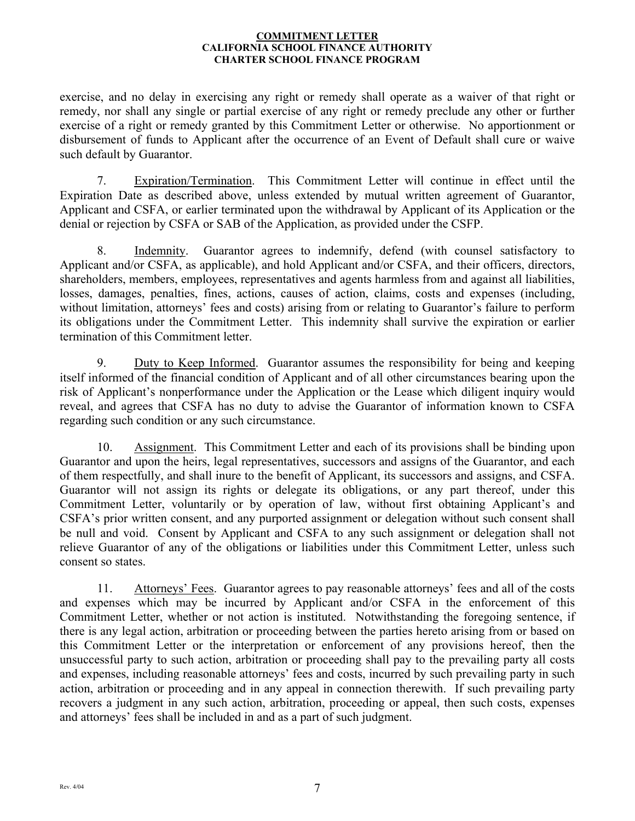exercise, and no delay in exercising any right or remedy shall operate as a waiver of that right or remedy, nor shall any single or partial exercise of any right or remedy preclude any other or further exercise of a right or remedy granted by this Commitment Letter or otherwise. No apportionment or disbursement of funds to Applicant after the occurrence of an Event of Default shall cure or waive such default by Guarantor.

7. Expiration/Termination. This Commitment Letter will continue in effect until the Expiration Date as described above, unless extended by mutual written agreement of Guarantor, Applicant and CSFA, or earlier terminated upon the withdrawal by Applicant of its Application or the denial or rejection by CSFA or SAB of the Application, as provided under the CSFP.

8. Indemnity. Guarantor agrees to indemnify, defend (with counsel satisfactory to Applicant and/or CSFA, as applicable), and hold Applicant and/or CSFA, and their officers, directors, shareholders, members, employees, representatives and agents harmless from and against all liabilities, losses, damages, penalties, fines, actions, causes of action, claims, costs and expenses (including, without limitation, attorneys' fees and costs) arising from or relating to Guarantor's failure to perform its obligations under the Commitment Letter. This indemnity shall survive the expiration or earlier termination of this Commitment letter.

9. Duty to Keep Informed. Guarantor assumes the responsibility for being and keeping itself informed of the financial condition of Applicant and of all other circumstances bearing upon the risk of Applicant's nonperformance under the Application or the Lease which diligent inquiry would reveal, and agrees that CSFA has no duty to advise the Guarantor of information known to CSFA regarding such condition or any such circumstance.

10. Assignment. This Commitment Letter and each of its provisions shall be binding upon Guarantor and upon the heirs, legal representatives, successors and assigns of the Guarantor, and each of them respectfully, and shall inure to the benefit of Applicant, its successors and assigns, and CSFA. Guarantor will not assign its rights or delegate its obligations, or any part thereof, under this Commitment Letter, voluntarily or by operation of law, without first obtaining Applicant's and CSFA's prior written consent, and any purported assignment or delegation without such consent shall be null and void. Consent by Applicant and CSFA to any such assignment or delegation shall not relieve Guarantor of any of the obligations or liabilities under this Commitment Letter, unless such consent so states.

11. Attorneys' Fees. Guarantor agrees to pay reasonable attorneys' fees and all of the costs and expenses which may be incurred by Applicant and/or CSFA in the enforcement of this Commitment Letter, whether or not action is instituted. Notwithstanding the foregoing sentence, if there is any legal action, arbitration or proceeding between the parties hereto arising from or based on this Commitment Letter or the interpretation or enforcement of any provisions hereof, then the unsuccessful party to such action, arbitration or proceeding shall pay to the prevailing party all costs and expenses, including reasonable attorneys' fees and costs, incurred by such prevailing party in such action, arbitration or proceeding and in any appeal in connection therewith. If such prevailing party recovers a judgment in any such action, arbitration, proceeding or appeal, then such costs, expenses and attorneys' fees shall be included in and as a part of such judgment.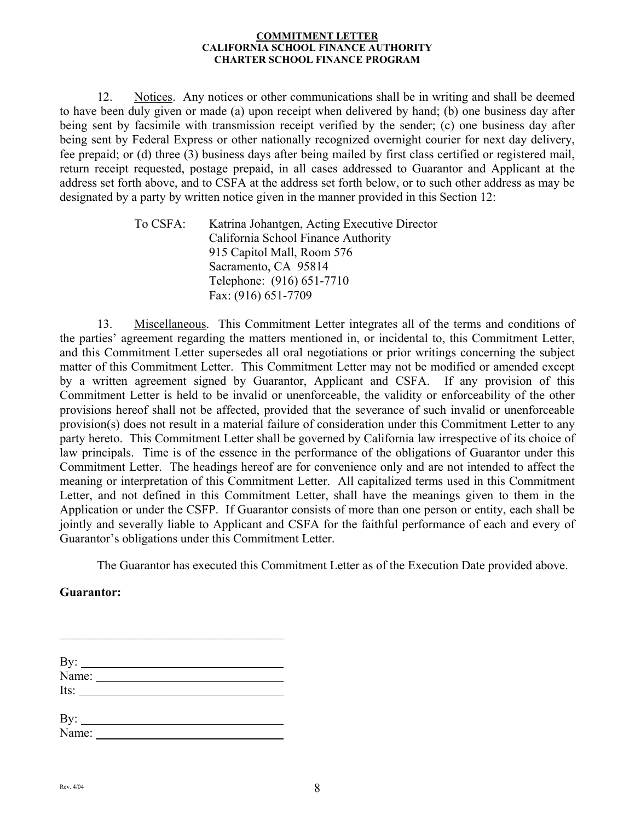12. Notices. Any notices or other communications shall be in writing and shall be deemed to have been duly given or made (a) upon receipt when delivered by hand; (b) one business day after being sent by facsimile with transmission receipt verified by the sender; (c) one business day after being sent by Federal Express or other nationally recognized overnight courier for next day delivery, fee prepaid; or (d) three (3) business days after being mailed by first class certified or registered mail, return receipt requested, postage prepaid, in all cases addressed to Guarantor and Applicant at the address set forth above, and to CSFA at the address set forth below, or to such other address as may be designated by a party by written notice given in the manner provided in this Section 12:

> To CSFA: Katrina Johantgen, Acting Executive Director California School Finance Authority 915 Capitol Mall, Room 576 Sacramento, CA 95814 Telephone: (916) 651-7710 Fax: (916) 651-7709

13. Miscellaneous. This Commitment Letter integrates all of the terms and conditions of the parties' agreement regarding the matters mentioned in, or incidental to, this Commitment Letter, and this Commitment Letter supersedes all oral negotiations or prior writings concerning the subject matter of this Commitment Letter. This Commitment Letter may not be modified or amended except by a written agreement signed by Guarantor, Applicant and CSFA. If any provision of this Commitment Letter is held to be invalid or unenforceable, the validity or enforceability of the other provisions hereof shall not be affected, provided that the severance of such invalid or unenforceable provision(s) does not result in a material failure of consideration under this Commitment Letter to any party hereto. This Commitment Letter shall be governed by California law irrespective of its choice of law principals. Time is of the essence in the performance of the obligations of Guarantor under this Commitment Letter. The headings hereof are for convenience only and are not intended to affect the meaning or interpretation of this Commitment Letter. All capitalized terms used in this Commitment Letter, and not defined in this Commitment Letter, shall have the meanings given to them in the Application or under the CSFP. If Guarantor consists of more than one person or entity, each shall be jointly and severally liable to Applicant and CSFA for the faithful performance of each and every of Guarantor's obligations under this Commitment Letter.

The Guarantor has executed this Commitment Letter as of the Execution Date provided above.

### **Guarantor:**

| By: $\frac{1}{\text{Name: } }$ |  |  |
|--------------------------------|--|--|
| Its: $\qquad \qquad$           |  |  |
|                                |  |  |
|                                |  |  |
|                                |  |  |
|                                |  |  |

 $\mathcal{L}_\text{max}$  , and the set of the set of the set of the set of the set of the set of the set of the set of the set of the set of the set of the set of the set of the set of the set of the set of the set of the set of the